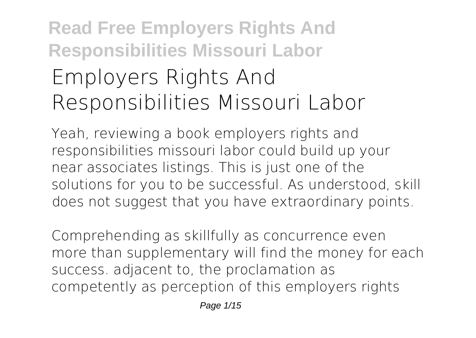## **Read Free Employers Rights And Responsibilities Missouri Labor Employers Rights And Responsibilities Missouri Labor**

Yeah, reviewing a book **employers rights and responsibilities missouri labor** could build up your near associates listings. This is just one of the solutions for you to be successful. As understood, skill does not suggest that you have extraordinary points.

Comprehending as skillfully as concurrence even more than supplementary will find the money for each success. adjacent to, the proclamation as competently as perception of this employers rights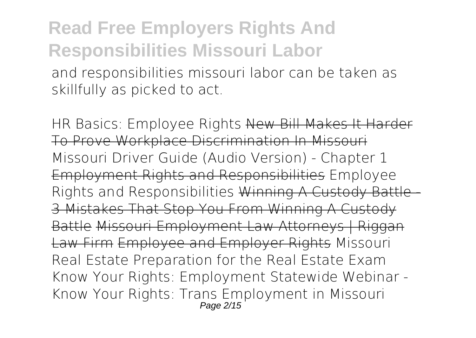and responsibilities missouri labor can be taken as skillfully as picked to act.

**HR Basics: Employee Rights** New Bill Makes It Harder To Prove Workplace Discrimination In Missouri **Missouri Driver Guide (Audio Version) - Chapter 1** Employment Rights and Responsibilities Employee Rights and Responsibilities Winning A Custody Battle 3 Mistakes That Stop You From Winning A Custody Battle Missouri Employment Law Attorneys | Riggan Law Firm Employee and Employer Rights *Missouri Real Estate Preparation for the Real Estate Exam Know Your Rights: Employment Statewide Webinar - Know Your Rights: Trans Employment in Missouri* Page 2/15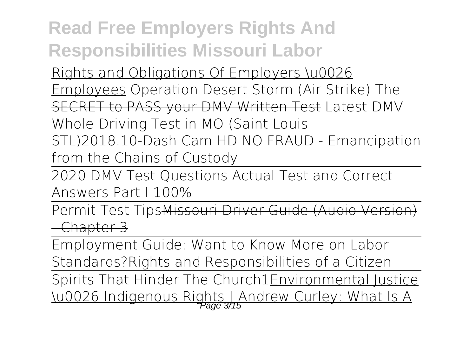Rights and Obligations Of Employers \u0026 Employees Operation Desert Storm (Air Strike) The SECRET to PASS your DMV Written Test *Latest DMV Whole Driving Test in MO (Saint Louis STL)2018.10-Dash Cam HD NO FRAUD - Emancipation from the Chains of Custody*

2020 DMV Test Questions Actual Test and Correct Answers Part I 100%

Permit Test TipsMissouri Driver Guide (Audio Version) - Chapter 3

Employment Guide: Want to Know More on Labor Standards?*Rights and Responsibilities of a Citizen* Spirits That Hinder The Church1Environmental Justice \u0026 Indigenous Rights | Andrew Curley: What Is A Page 3/15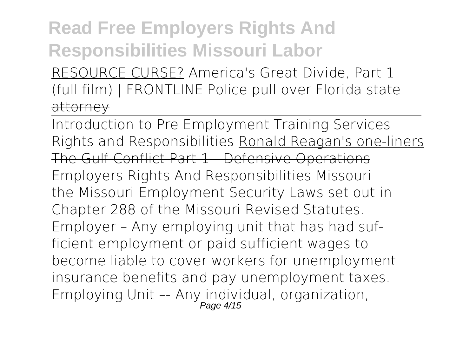RESOURCE CURSE? America's Great Divide, Part 1 (full film) | FRONTLINE Police pull over Florida state attorney

Introduction to Pre Employment Training Services *Rights and Responsibilities* Ronald Reagan's one-liners The Gulf Conflict Part 1 - Defensive Operations **Employers Rights And Responsibilities Missouri** the Missouri Employment Security Laws set out in Chapter 288 of the Missouri Revised Statutes. Employer – Any employing unit that has had sufficient employment or paid sufficient wages to become liable to cover workers for unemployment insurance benefits and pay unemployment taxes. Employing Unit –- Any individual, organization, Page 4/15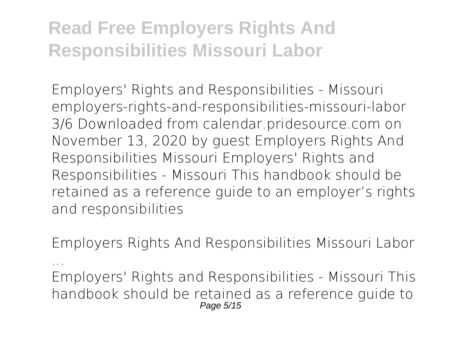**Employers' Rights and Responsibilities - Missouri** employers-rights-and-responsibilities-missouri-labor 3/6 Downloaded from calendar.pridesource.com on November 13, 2020 by guest Employers Rights And Responsibilities Missouri Employers' Rights and Responsibilities - Missouri This handbook should be retained as a reference guide to an employer's rights and responsibilities

**Employers Rights And Responsibilities Missouri Labor**

**...** Employers' Rights and Responsibilities - Missouri This handbook should be retained as a reference guide to Page 5/15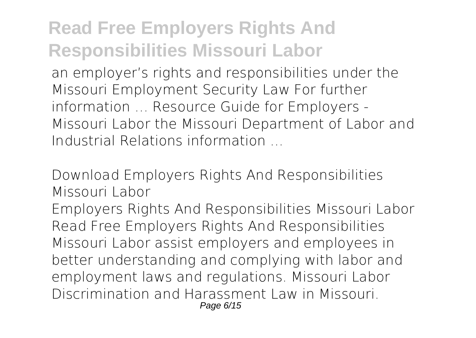an employer's rights and responsibilities under the Missouri Employment Security Law For further information … Resource Guide for Employers - Missouri Labor the Missouri Department of Labor and Industrial Relations information ...

#### **Download Employers Rights And Responsibilities Missouri Labor**

Employers Rights And Responsibilities Missouri Labor Read Free Employers Rights And Responsibilities Missouri Labor assist employers and employees in better understanding and complying with labor and employment laws and regulations. Missouri Labor Discrimination and Harassment Law in Missouri. Page 6/15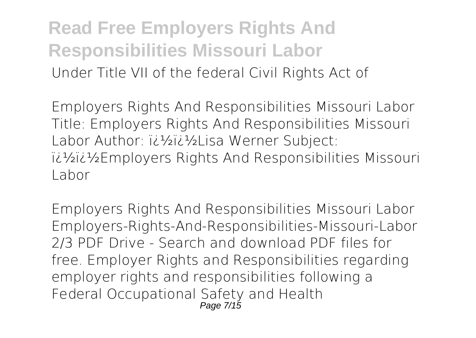**Read Free Employers Rights And Responsibilities Missouri Labor** Under Title VII of the federal Civil Rights Act of

**Employers Rights And Responsibilities Missouri Labor** Title: Employers Rights And Responsibilities Missouri Labor Author: i¿1/2i¿1/2Lisa Werner Subject: ��Employers Rights And Responsibilities Missouri Labor

**Employers Rights And Responsibilities Missouri Labor** Employers-Rights-And-Responsibilities-Missouri-Labor 2/3 PDF Drive - Search and download PDF files for free. Employer Rights and Responsibilities regarding employer rights and responsibilities following a Federal Occupational Safety and Health Page 7/15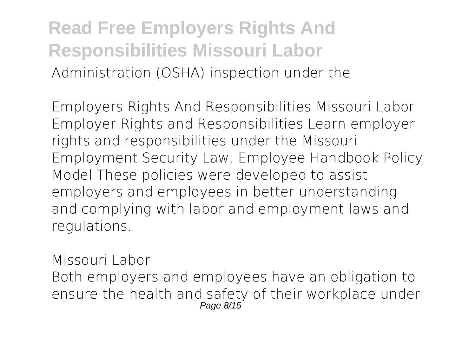**Read Free Employers Rights And Responsibilities Missouri Labor** Administration (OSHA) inspection under the

**Employers Rights And Responsibilities Missouri Labor** Employer Rights and Responsibilities Learn employer rights and responsibilities under the Missouri Employment Security Law. Employee Handbook Policy Model These policies were developed to assist employers and employees in better understanding and complying with labor and employment laws and regulations.

**Missouri Labor** Both employers and employees have an obligation to ensure the health and safety of their workplace under Page 8/15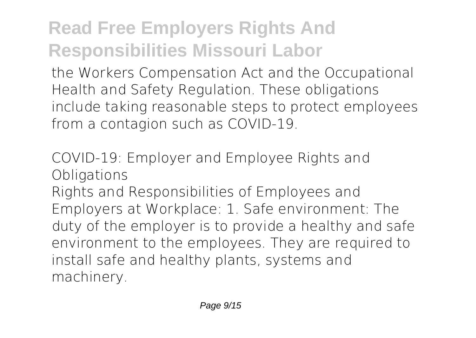the Workers Compensation Act and the Occupational Health and Safety Regulation. These obligations include taking reasonable steps to protect employees from a contagion such as COVID-19.

**COVID-19: Employer and Employee Rights and Obligations**

Rights and Responsibilities of Employees and Employers at Workplace: 1. Safe environment: The duty of the employer is to provide a healthy and safe environment to the employees. They are required to install safe and healthy plants, systems and machinery.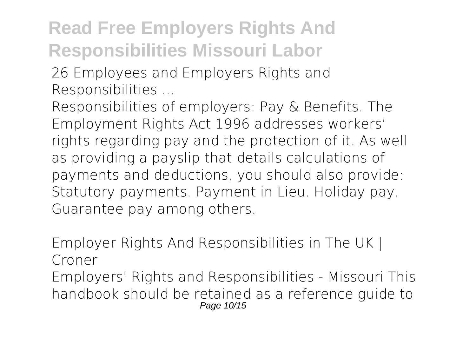**26 Employees and Employers Rights and Responsibilities ...**

Responsibilities of employers: Pay & Benefits. The Employment Rights Act 1996 addresses workers' rights regarding pay and the protection of it. As well as providing a payslip that details calculations of payments and deductions, you should also provide: Statutory payments. Payment in Lieu. Holiday pay. Guarantee pay among others.

**Employer Rights And Responsibilities in The UK | Croner** Employers' Rights and Responsibilities - Missouri This handbook should be retained as a reference guide to Page 10/15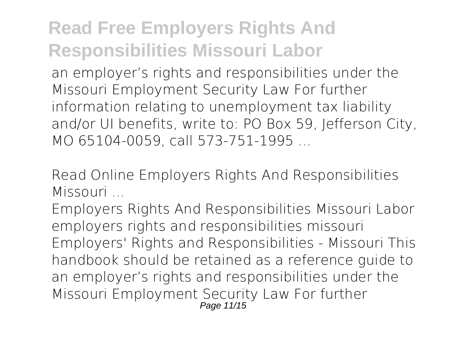an employer's rights and responsibilities under the Missouri Employment Security Law For further information relating to unemployment tax liability and/or UI benefits, write to: PO Box 59, Jefferson City, MO 65104-0059, call 573-751-1995 ...

**Read Online Employers Rights And Responsibilities Missouri ...**

Employers Rights And Responsibilities Missouri Labor employers rights and responsibilities missouri Employers' Rights and Responsibilities - Missouri This handbook should be retained as a reference guide to an employer's rights and responsibilities under the Missouri Employment Security Law For further Page 11/15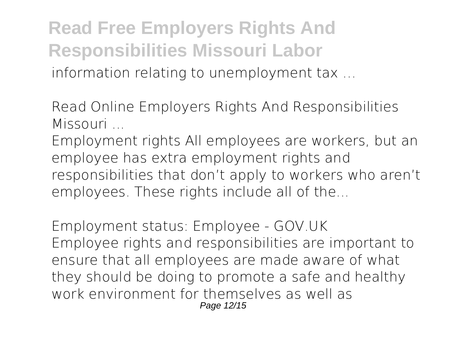**Read Free Employers Rights And Responsibilities Missouri Labor** information relating to unemployment tax …

**Read Online Employers Rights And Responsibilities Missouri ...**

Employment rights All employees are workers, but an employee has extra employment rights and responsibilities that don't apply to workers who aren't employees. These rights include all of the...

**Employment status: Employee - GOV.UK** Employee rights and responsibilities are important to ensure that all employees are made aware of what they should be doing to promote a safe and healthy work environment for themselves as well as Page 12/15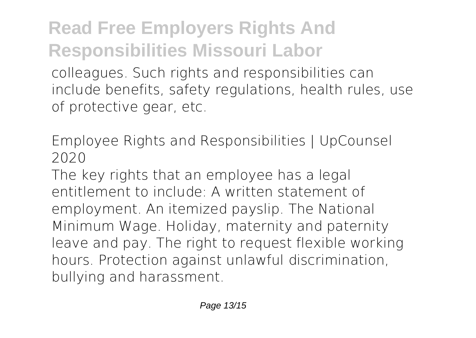colleagues. Such rights and responsibilities can include benefits, safety regulations, health rules, use of protective gear, etc.

**Employee Rights and Responsibilities | UpCounsel 2020**

The key rights that an employee has a legal entitlement to include: A written statement of employment. An itemized payslip. The National Minimum Wage. Holiday, maternity and paternity leave and pay. The right to request flexible working hours. Protection against unlawful discrimination, bullying and harassment.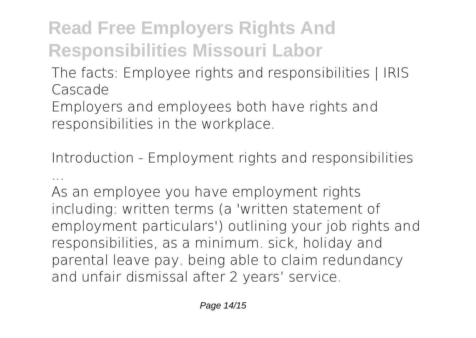**The facts: Employee rights and responsibilities | IRIS Cascade**

Employers and employees both have rights and responsibilities in the workplace.

**Introduction - Employment rights and responsibilities ...**

As an employee you have employment rights including: written terms (a 'written statement of employment particulars') outlining your job rights and responsibilities, as a minimum. sick, holiday and parental leave pay. being able to claim redundancy and unfair dismissal after 2 years' service.